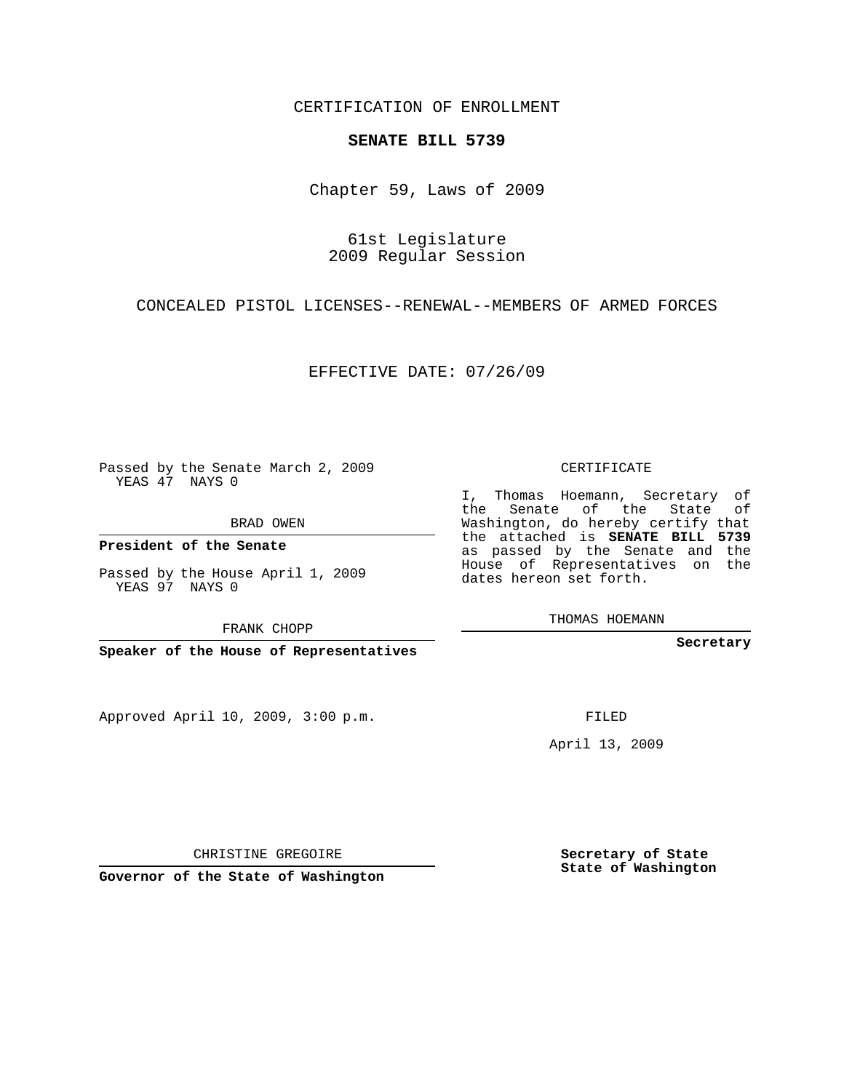CERTIFICATION OF ENROLLMENT

## **SENATE BILL 5739**

Chapter 59, Laws of 2009

61st Legislature 2009 Regular Session

CONCEALED PISTOL LICENSES--RENEWAL--MEMBERS OF ARMED FORCES

EFFECTIVE DATE: 07/26/09

Passed by the Senate March 2, 2009 YEAS 47 NAYS 0

BRAD OWEN

**President of the Senate**

Passed by the House April 1, 2009 YEAS 97 NAYS 0

FRANK CHOPP

**Speaker of the House of Representatives**

Approved April 10, 2009, 3:00 p.m.

CERTIFICATE

I, Thomas Hoemann, Secretary of the Senate of the State of Washington, do hereby certify that the attached is **SENATE BILL 5739** as passed by the Senate and the House of Representatives on the dates hereon set forth.

THOMAS HOEMANN

**Secretary**

FILED

April 13, 2009

CHRISTINE GREGOIRE

**Secretary of State State of Washington**

**Governor of the State of Washington**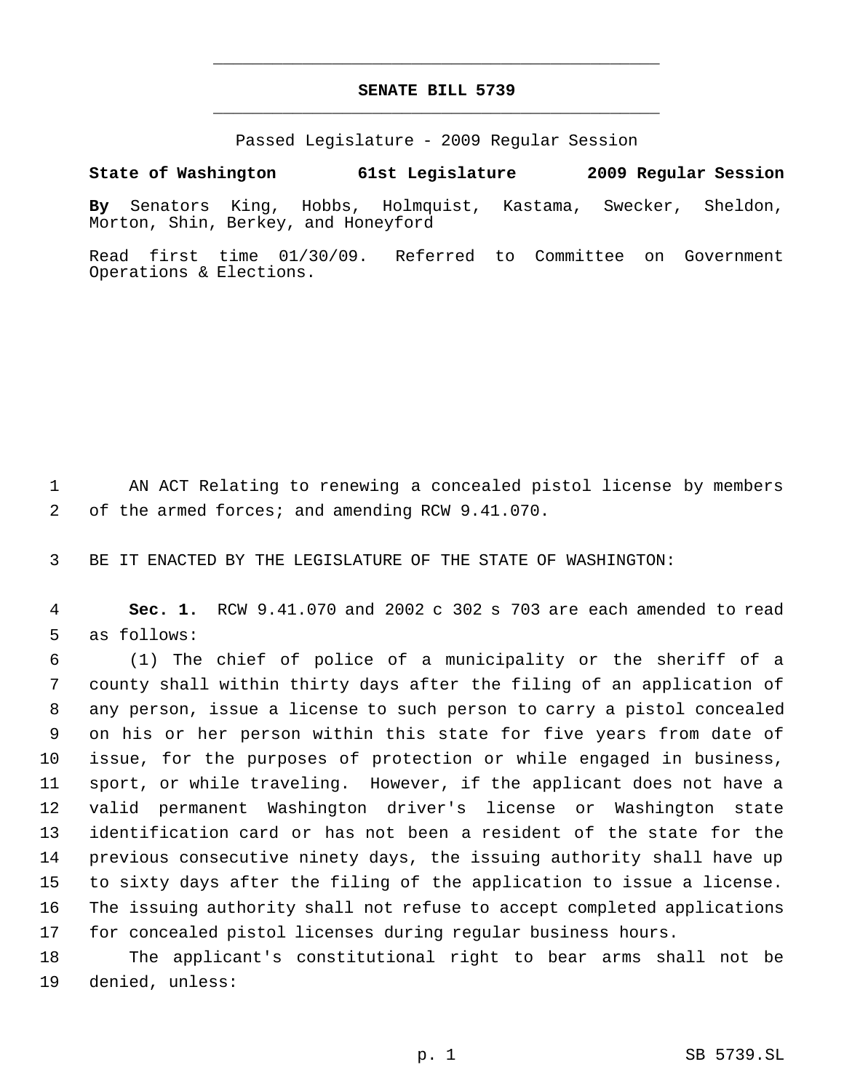## **SENATE BILL 5739** \_\_\_\_\_\_\_\_\_\_\_\_\_\_\_\_\_\_\_\_\_\_\_\_\_\_\_\_\_\_\_\_\_\_\_\_\_\_\_\_\_\_\_\_\_

\_\_\_\_\_\_\_\_\_\_\_\_\_\_\_\_\_\_\_\_\_\_\_\_\_\_\_\_\_\_\_\_\_\_\_\_\_\_\_\_\_\_\_\_\_

Passed Legislature - 2009 Regular Session

## **State of Washington 61st Legislature 2009 Regular Session**

**By** Senators King, Hobbs, Holmquist, Kastama, Swecker, Sheldon, Morton, Shin, Berkey, and Honeyford

Read first time 01/30/09. Referred to Committee on Government Operations & Elections.

 AN ACT Relating to renewing a concealed pistol license by members of the armed forces; and amending RCW 9.41.070.

BE IT ENACTED BY THE LEGISLATURE OF THE STATE OF WASHINGTON:

 **Sec. 1.** RCW 9.41.070 and 2002 c 302 s 703 are each amended to read as follows:

 (1) The chief of police of a municipality or the sheriff of a county shall within thirty days after the filing of an application of any person, issue a license to such person to carry a pistol concealed on his or her person within this state for five years from date of issue, for the purposes of protection or while engaged in business, sport, or while traveling. However, if the applicant does not have a valid permanent Washington driver's license or Washington state identification card or has not been a resident of the state for the previous consecutive ninety days, the issuing authority shall have up to sixty days after the filing of the application to issue a license. The issuing authority shall not refuse to accept completed applications for concealed pistol licenses during regular business hours.

 The applicant's constitutional right to bear arms shall not be denied, unless: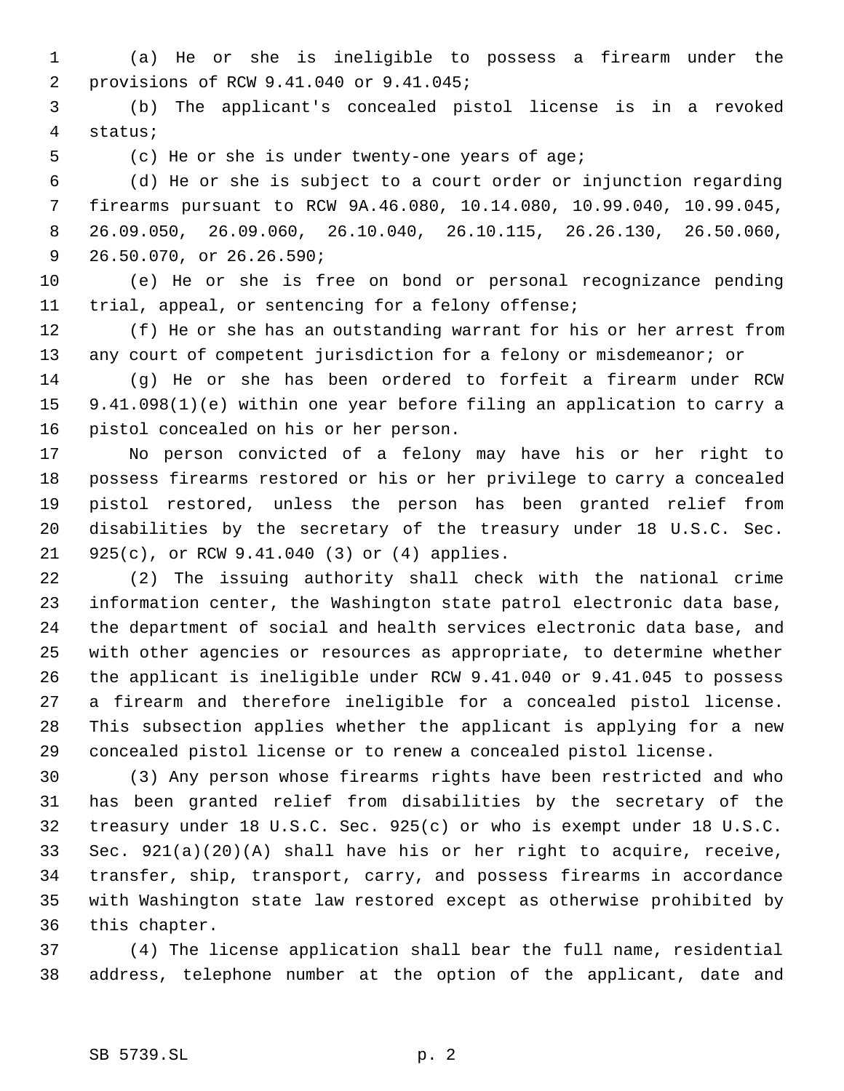(a) He or she is ineligible to possess a firearm under the provisions of RCW 9.41.040 or 9.41.045;

 (b) The applicant's concealed pistol license is in a revoked status;

(c) He or she is under twenty-one years of age;

 (d) He or she is subject to a court order or injunction regarding firearms pursuant to RCW 9A.46.080, 10.14.080, 10.99.040, 10.99.045, 26.09.050, 26.09.060, 26.10.040, 26.10.115, 26.26.130, 26.50.060, 26.50.070, or 26.26.590;

 (e) He or she is free on bond or personal recognizance pending trial, appeal, or sentencing for a felony offense;

 (f) He or she has an outstanding warrant for his or her arrest from any court of competent jurisdiction for a felony or misdemeanor; or

 (g) He or she has been ordered to forfeit a firearm under RCW 9.41.098(1)(e) within one year before filing an application to carry a pistol concealed on his or her person.

 No person convicted of a felony may have his or her right to possess firearms restored or his or her privilege to carry a concealed pistol restored, unless the person has been granted relief from disabilities by the secretary of the treasury under 18 U.S.C. Sec. 925(c), or RCW 9.41.040 (3) or (4) applies.

 (2) The issuing authority shall check with the national crime information center, the Washington state patrol electronic data base, the department of social and health services electronic data base, and with other agencies or resources as appropriate, to determine whether the applicant is ineligible under RCW 9.41.040 or 9.41.045 to possess a firearm and therefore ineligible for a concealed pistol license. This subsection applies whether the applicant is applying for a new concealed pistol license or to renew a concealed pistol license.

 (3) Any person whose firearms rights have been restricted and who has been granted relief from disabilities by the secretary of the treasury under 18 U.S.C. Sec. 925(c) or who is exempt under 18 U.S.C. Sec. 921(a)(20)(A) shall have his or her right to acquire, receive, transfer, ship, transport, carry, and possess firearms in accordance with Washington state law restored except as otherwise prohibited by this chapter.

 (4) The license application shall bear the full name, residential address, telephone number at the option of the applicant, date and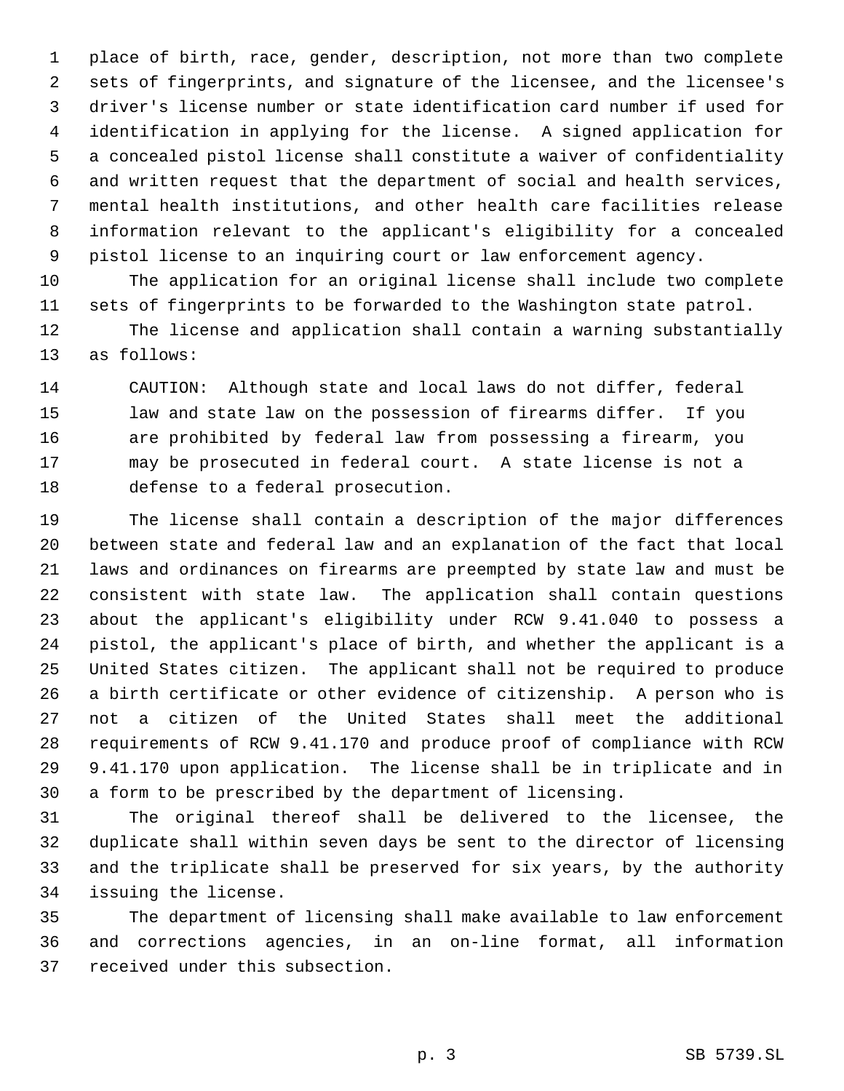place of birth, race, gender, description, not more than two complete sets of fingerprints, and signature of the licensee, and the licensee's driver's license number or state identification card number if used for identification in applying for the license. A signed application for a concealed pistol license shall constitute a waiver of confidentiality and written request that the department of social and health services, mental health institutions, and other health care facilities release information relevant to the applicant's eligibility for a concealed pistol license to an inquiring court or law enforcement agency.

 The application for an original license shall include two complete sets of fingerprints to be forwarded to the Washington state patrol.

 The license and application shall contain a warning substantially as follows:

 CAUTION: Although state and local laws do not differ, federal law and state law on the possession of firearms differ. If you are prohibited by federal law from possessing a firearm, you may be prosecuted in federal court. A state license is not a defense to a federal prosecution.

 The license shall contain a description of the major differences between state and federal law and an explanation of the fact that local laws and ordinances on firearms are preempted by state law and must be consistent with state law. The application shall contain questions about the applicant's eligibility under RCW 9.41.040 to possess a pistol, the applicant's place of birth, and whether the applicant is a United States citizen. The applicant shall not be required to produce a birth certificate or other evidence of citizenship. A person who is not a citizen of the United States shall meet the additional requirements of RCW 9.41.170 and produce proof of compliance with RCW 9.41.170 upon application. The license shall be in triplicate and in a form to be prescribed by the department of licensing.

 The original thereof shall be delivered to the licensee, the duplicate shall within seven days be sent to the director of licensing and the triplicate shall be preserved for six years, by the authority issuing the license.

 The department of licensing shall make available to law enforcement and corrections agencies, in an on-line format, all information received under this subsection.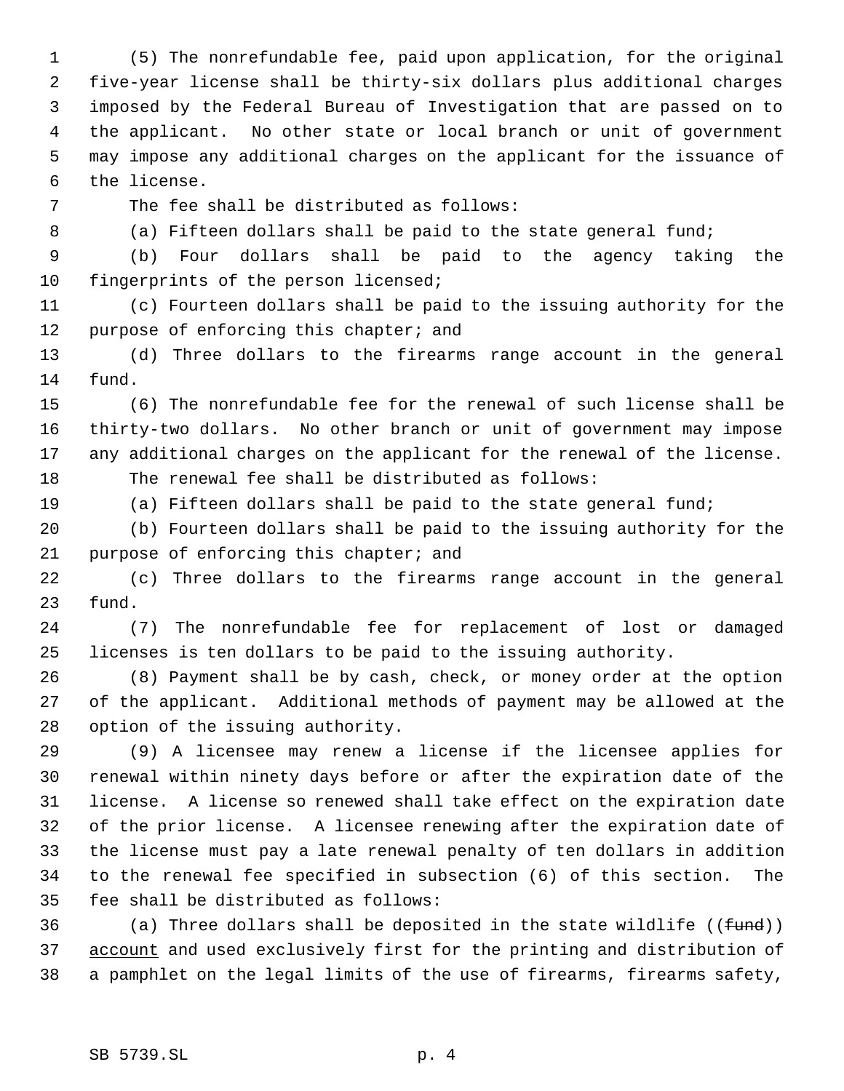(5) The nonrefundable fee, paid upon application, for the original five-year license shall be thirty-six dollars plus additional charges imposed by the Federal Bureau of Investigation that are passed on to the applicant. No other state or local branch or unit of government may impose any additional charges on the applicant for the issuance of the license.

The fee shall be distributed as follows:

8 (a) Fifteen dollars shall be paid to the state general fund;

 (b) Four dollars shall be paid to the agency taking the 10 fingerprints of the person licensed;

 (c) Fourteen dollars shall be paid to the issuing authority for the 12 purpose of enforcing this chapter; and

 (d) Three dollars to the firearms range account in the general fund.

 (6) The nonrefundable fee for the renewal of such license shall be thirty-two dollars. No other branch or unit of government may impose any additional charges on the applicant for the renewal of the license. The renewal fee shall be distributed as follows:

(a) Fifteen dollars shall be paid to the state general fund;

 (b) Fourteen dollars shall be paid to the issuing authority for the 21 purpose of enforcing this chapter; and

 (c) Three dollars to the firearms range account in the general fund.

 (7) The nonrefundable fee for replacement of lost or damaged licenses is ten dollars to be paid to the issuing authority.

 (8) Payment shall be by cash, check, or money order at the option of the applicant. Additional methods of payment may be allowed at the option of the issuing authority.

 (9) A licensee may renew a license if the licensee applies for renewal within ninety days before or after the expiration date of the license. A license so renewed shall take effect on the expiration date of the prior license. A licensee renewing after the expiration date of the license must pay a late renewal penalty of ten dollars in addition to the renewal fee specified in subsection (6) of this section. The fee shall be distributed as follows:

36 (a) Three dollars shall be deposited in the state wildlife  $((fund))$ 37 account and used exclusively first for the printing and distribution of a pamphlet on the legal limits of the use of firearms, firearms safety,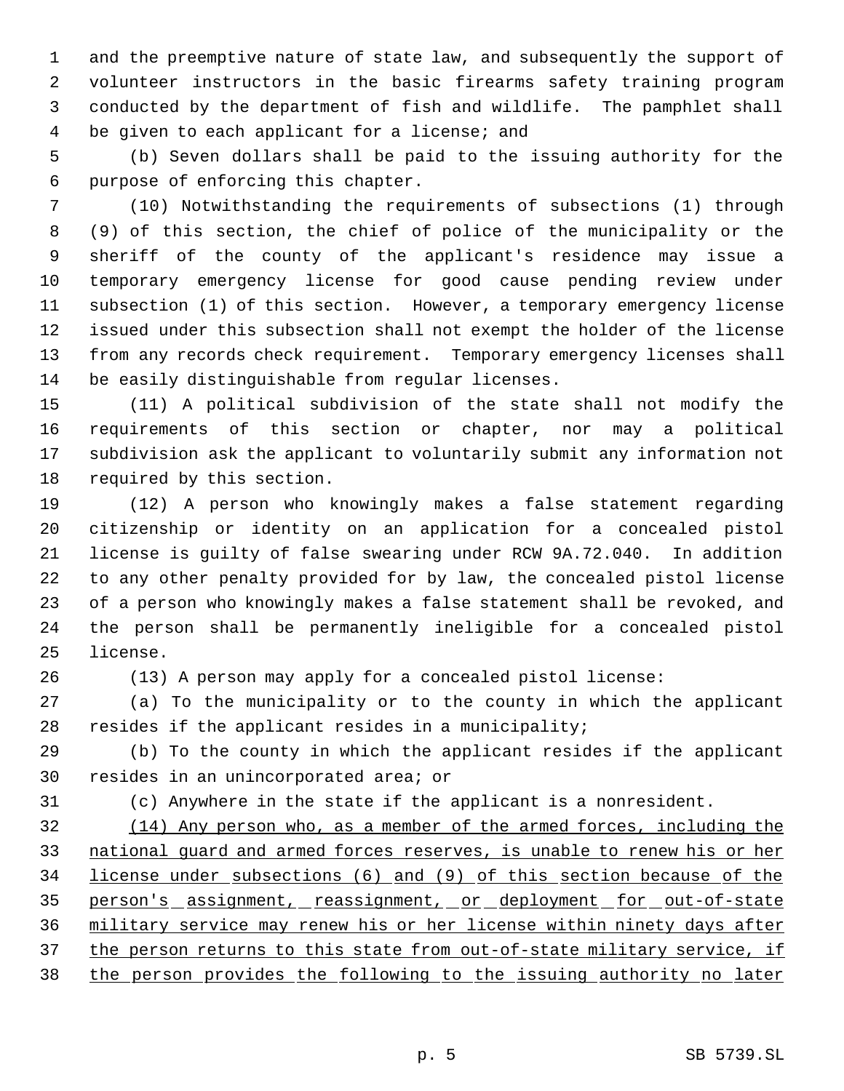and the preemptive nature of state law, and subsequently the support of volunteer instructors in the basic firearms safety training program conducted by the department of fish and wildlife. The pamphlet shall be given to each applicant for a license; and

 (b) Seven dollars shall be paid to the issuing authority for the purpose of enforcing this chapter.

 (10) Notwithstanding the requirements of subsections (1) through (9) of this section, the chief of police of the municipality or the sheriff of the county of the applicant's residence may issue a temporary emergency license for good cause pending review under subsection (1) of this section. However, a temporary emergency license issued under this subsection shall not exempt the holder of the license from any records check requirement. Temporary emergency licenses shall be easily distinguishable from regular licenses.

 (11) A political subdivision of the state shall not modify the requirements of this section or chapter, nor may a political subdivision ask the applicant to voluntarily submit any information not required by this section.

 (12) A person who knowingly makes a false statement regarding citizenship or identity on an application for a concealed pistol license is guilty of false swearing under RCW 9A.72.040. In addition to any other penalty provided for by law, the concealed pistol license of a person who knowingly makes a false statement shall be revoked, and the person shall be permanently ineligible for a concealed pistol license.

(13) A person may apply for a concealed pistol license:

 (a) To the municipality or to the county in which the applicant resides if the applicant resides in a municipality;

 (b) To the county in which the applicant resides if the applicant resides in an unincorporated area; or

(c) Anywhere in the state if the applicant is a nonresident.

 (14) Any person who, as a member of the armed forces, including the national guard and armed forces reserves, is unable to renew his or her license under subsections (6) and (9) of this section because of the 35 person's assignment, reassignment, or deployment for out-of-state military service may renew his or her license within ninety days after 37 the person returns to this state from out-of-state military service, if the person provides the following to the issuing authority no later